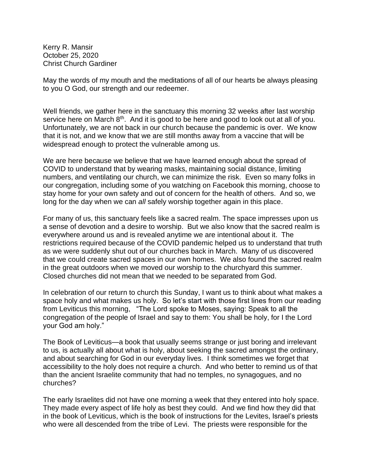Kerry R. Mansir October 25, 2020 Christ Church Gardiner

May the words of my mouth and the meditations of all of our hearts be always pleasing to you O God, our strength and our redeemer.

Well friends, we gather here in the sanctuary this morning 32 weeks after last worship service here on March 8<sup>th</sup>. And it is good to be here and good to look out at all of you. Unfortunately, we are not back in our church because the pandemic is over. We know that it is not, and we know that we are still months away from a vaccine that will be widespread enough to protect the vulnerable among us.

We are here because we believe that we have learned enough about the spread of COVID to understand that by wearing masks, maintaining social distance, limiting numbers, and ventilating our church, we can minimize the risk. Even so many folks in our congregation, including some of you watching on Facebook this morning, choose to stay home for your own safety and out of concern for the health of others. And so, we long for the day when we can *all* safely worship together again in this place.

For many of us, this sanctuary feels like a sacred realm. The space impresses upon us a sense of devotion and a desire to worship. But we also know that the sacred realm is everywhere around us and is revealed anytime we are intentional about it. The restrictions required because of the COVID pandemic helped us to understand that truth as we were suddenly shut out of our churches back in March. Many of us discovered that we could create sacred spaces in our own homes. We also found the sacred realm in the great outdoors when we moved our worship to the churchyard this summer. Closed churches did not mean that we needed to be separated from God.

In celebration of our return to church this Sunday, I want us to think about what makes a space holy and what makes us holy. So let's start with those first lines from our reading from Leviticus this morning, "The Lord spoke to Moses, saying: Speak to all the congregation of the people of Israel and say to them: You shall be holy, for I the Lord your God am holy."

The Book of Leviticus—a book that usually seems strange or just boring and irrelevant to us, is actually all about what is holy, about seeking the sacred amongst the ordinary, and about searching for God in our everyday lives. I think sometimes we forget that accessibility to the holy does not require a church. And who better to remind us of that than the ancient Israelite community that had no temples, no synagogues, and no churches?

The early Israelites did not have one morning a week that they entered into holy space. They made every aspect of life holy as best they could. And we find how they did that in the book of Leviticus, which is the book of instructions for the Levites, Israel's priests who were all descended from the tribe of Levi. The priests were responsible for the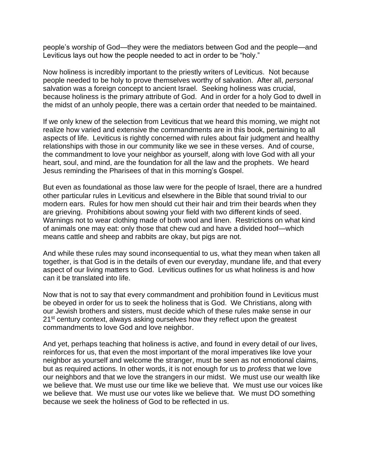people's worship of God—they were the mediators between God and the people—and Leviticus lays out how the people needed to act in order to be "holy."

Now holiness is incredibly important to the priestly writers of Leviticus. Not because people needed to be holy to prove themselves worthy of salvation. After all, *personal*  salvation was a foreign concept to ancient Israel. Seeking holiness was crucial, because holiness is the primary attribute of God. And in order for a holy God to dwell in the midst of an unholy people, there was a certain order that needed to be maintained.

If we only knew of the selection from Leviticus that we heard this morning, we might not realize how varied and extensive the commandments are in this book, pertaining to all aspects of life. Leviticus is rightly concerned with rules about fair judgment and healthy relationships with those in our community like we see in these verses. And of course, the commandment to love your neighbor as yourself, along with love God with all your heart, soul, and mind, are the foundation for all the law and the prophets. We heard Jesus reminding the Pharisees of that in this morning's Gospel.

But even as foundational as those law were for the people of Israel, there are a hundred other particular rules in Leviticus and elsewhere in the Bible that sound trivial to our modern ears. Rules for how men should cut their hair and trim their beards when they are grieving. Prohibitions about sowing your field with two different kinds of seed. Warnings not to wear clothing made of both wool and linen. Restrictions on what kind of animals one may eat: only those that chew cud and have a divided hoof—which means cattle and sheep and rabbits are okay, but pigs are not.

And while these rules may sound inconsequential to us, what they mean when taken all together, is that God is in the details of even our everyday, mundane life, and that every aspect of our living matters to God. Leviticus outlines for us what holiness is and how can it be translated into life.

Now that is not to say that every commandment and prohibition found in Leviticus must be obeyed in order for us to seek the holiness that is God. We Christians, along with our Jewish brothers and sisters, must decide which of these rules make sense in our 21<sup>st</sup> century context, always asking ourselves how they reflect upon the greatest commandments to love God and love neighbor.

And yet, perhaps teaching that holiness is active, and found in every detail of our lives, reinforces for us, that even the most important of the moral imperatives like love your neighbor as yourself and welcome the stranger, must be seen as not emotional claims, but as required actions. In other words, it is not enough for us to *profess* that we love our neighbors and that we love the strangers in our midst. We must use our wealth like we believe that. We must use our time like we believe that. We must use our voices like we believe that. We must use our votes like we believe that. We must DO something because we seek the holiness of God to be reflected in us.